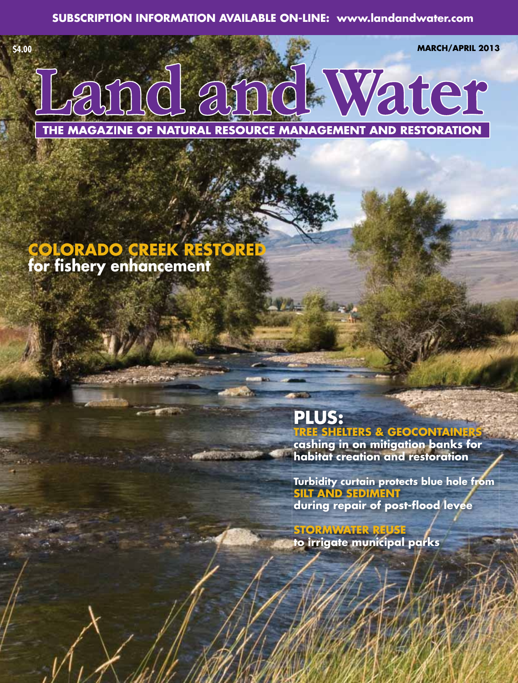**\$4.00 MARCH/APRIL 2013**



THE MAGAZINE OF NATURAL RESOURCE MANAGEMENT AND RESTORATION

## **COLORADO CREEK RESTORED for fi shery enhancement**

## **PLUS:**

**TREE SHELTERS & GEOCONTAIN** 

**cashing in on mitigation banks for habitat creation and restoration**

**Turbidity curtain protects blue hole from SILT AND SEDIMENT**  during repair of post-flood levee

**STORMWATER REUSE to irrigate municipal parks**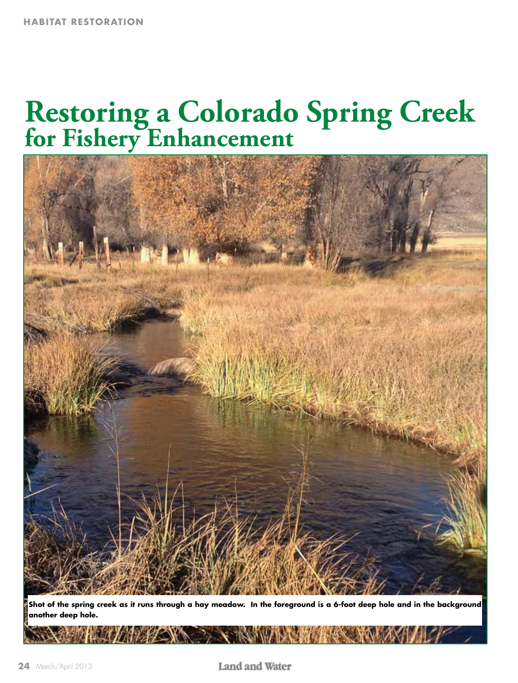# **Restoring a Colorado Spring Creek for Fishery Enhancement**



**Shot of the spring creek as it runs through a hay meadow. In the foreground is a 6-foot deep hole and in the background another deep hole.**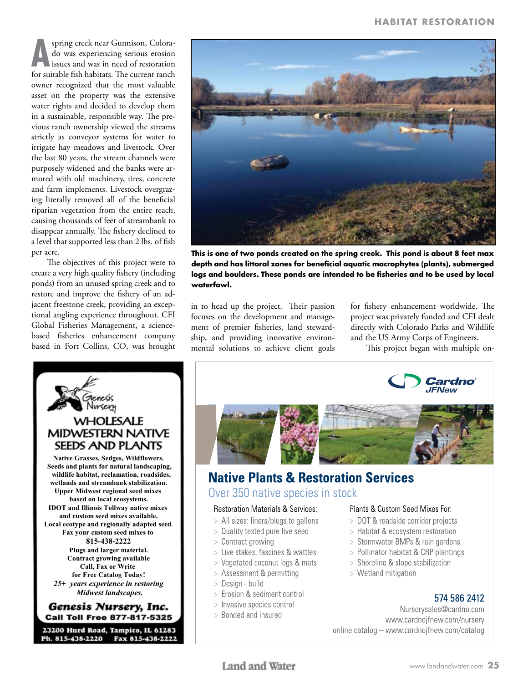**A** spring creek near Gunnison, Colora-<br>do was experiencing serious erosion<br>for suitable fish habitats. The current ranch spring creek near Gunnison, Colorado was experiencing serious erosion issues and was in need of restoration owner recognized that the most valuable asset on the property was the extensive water rights and decided to develop them in a sustainable, responsible way. The previous ranch ownership viewed the streams strictly as conveyor systems for water to irrigate hay meadows and livestock. Over the last 80 years, the stream channels were purposely widened and the banks were armored with old machinery, tires, concrete and farm implements. Livestock overgrazing literally removed all of the beneficial riparian vegetation from the entire reach, causing thousands of feet of streambank to disappear annually. The fishery declined to a level that supported less than 2 lbs. of fish per acre.

The objectives of this project were to create a very high quality fishery (including ponds) from an unused spring creek and to restore and improve the fishery of an adjacent freestone creek, providing an exceptional angling experience throughout. CFI Global Fisheries Management, a sciencebased fisheries enhancement company based in Fort Collins, CO, was brought





**This is one of two ponds created on the spring creek. This pond is about 8 feet max**  depth and has littoral zones for beneficial aquatic macrophytes (plants), submerged logs and boulders. These ponds are intended to be fisheries and to be used by local **waterfowl.**

in to head up the project. Their passion focuses on the development and management of premier fisheries, land stewardship, and providing innovative environmental solutions to achieve client goals for fishery enhancement worldwide. The project was privately funded and CFI dealt directly with Colorado Parks and Wildlife and the US Army Corps of Engineers.

This project began with multiple on-





## **Native Plants & Restoration Services** Over 350 native species in stock

#### **Restoration Materials & Services:**

- > All sizes: liners/plugs to gallons
- > Quality tested pure live seed
- $>$  Contract growing
- > Live stakes, fascines & wattles
- > Vegetated coconut logs & mats
- > Assessment & permitting
- > Design build
- > Erosion & sediment control
- > Invasive species control
- > Bonded and insured

#### Plants & Custom Seed Mixes For:

- > DOT & roadside corridor projects
- > Habitat & ecosystem restoration
- > Stormwater BMPs & rain gardens
- > Pollinator habitat & CRP plantings
- > Shoreline & slope stabilization
- $>$  Wetland mitigation

### 574 586 2412

Nurserysales@cardno.com www.cardnojfnew.com/nursery online catalog - www.cardnojfnew.com/catalog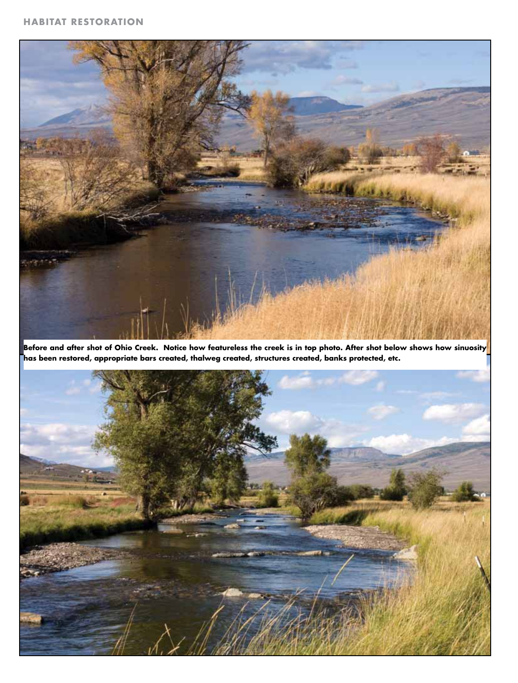

**Before and after shot of Ohio Creek. Notice how featureless the creek is in top photo. After shot below shows how sinuosity has been restored, appropriate bars created, thalweg created, structures created, banks protected, etc.**

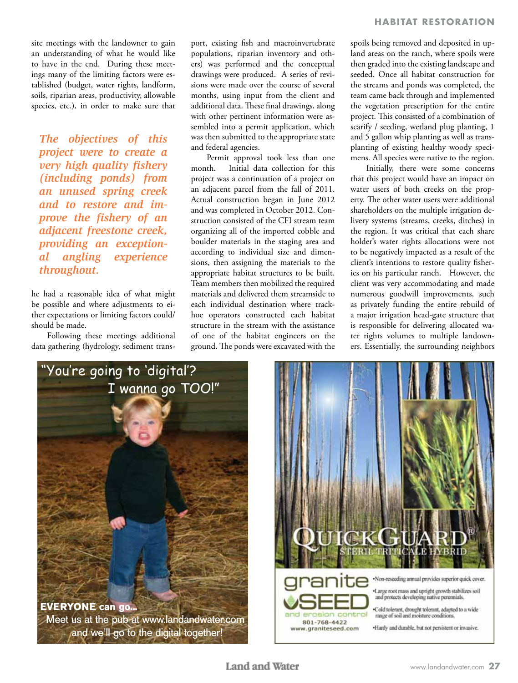site meetings with the landowner to gain an understanding of what he would like to have in the end. During these meetings many of the limiting factors were established (budget, water rights, landform, soils, riparian areas, productivity, allowable species, etc.), in order to make sure that

*The objectives of this project were to create a very high quality fishery (including ponds) from an unused spring creek and to restore and improve the fishery of an adjacent freestone creek, providing an exceptional angling experience throughout.*

he had a reasonable idea of what might be possible and where adjustments to either expectations or limiting factors could/ should be made.

Following these meetings additional data gathering (hydrology, sediment transport, existing fish and macroinvertebrate populations, riparian inventory and others) was performed and the conceptual drawings were produced. A series of revisions were made over the course of several months, using input from the client and additional data. These final drawings, along with other pertinent information were assembled into a permit application, which was then submitted to the appropriate state and federal agencies.

Permit approval took less than one month. Initial data collection for this project was a continuation of a project on an adjacent parcel from the fall of 2011. Actual construction began in June 2012 and was completed in October 2012. Construction consisted of the CFI stream team organizing all of the imported cobble and boulder materials in the staging area and according to individual size and dimensions, then assigning the materials to the appropriate habitat structures to be built. Team members then mobilized the required materials and delivered them streamside to each individual destination where trackhoe operators constructed each habitat structure in the stream with the assistance of one of the habitat engineers on the ground. The ponds were excavated with the spoils being removed and deposited in upland areas on the ranch, where spoils were then graded into the existing landscape and seeded. Once all habitat construction for the streams and ponds was completed, the team came back through and implemented the vegetation prescription for the entire project. This consisted of a combination of scarify / seeding, wetland plug planting, 1 and 5 gallon whip planting as well as transplanting of existing healthy woody specimens. All species were native to the region.

Initially, there were some concerns that this project would have an impact on water users of both creeks on the property. The other water users were additional shareholders on the multiple irrigation delivery systems (streams, creeks, ditches) in the region. It was critical that each share holder's water rights allocations were not to be negatively impacted as a result of the client's intentions to restore quality fisheries on his particular ranch. However, the client was very accommodating and made numerous goodwill improvements, such as privately funding the entire rebuild of a major irrigation head-gate structure that is responsible for delivering allocated water rights volumes to multiple landowners. Essentially, the surrounding neighbors